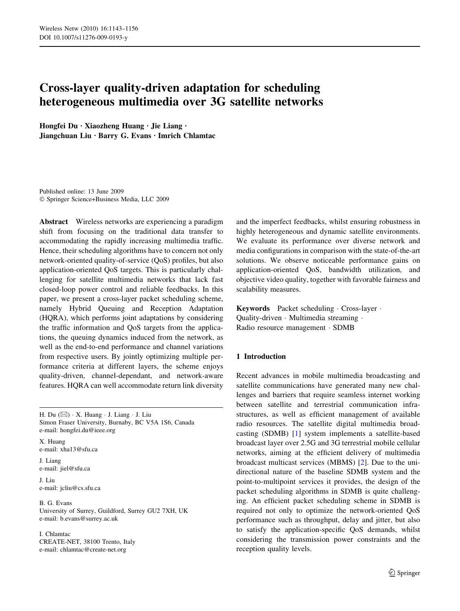# Cross-layer quality-driven adaptation for scheduling heterogeneous multimedia over 3G satellite networks

Hongfei Du · Xiaozheng Huang · Jie Liang · Jiangchuan Liu · Barry G. Evans · Imrich Chlamtac

Published online: 13 June 2009 - Springer Science+Business Media, LLC 2009

Abstract Wireless networks are experiencing a paradigm shift from focusing on the traditional data transfer to accommodating the rapidly increasing multimedia traffic. Hence, their scheduling algorithms have to concern not only network-oriented quality-of-service (QoS) profiles, but also application-oriented QoS targets. This is particularly challenging for satellite multimedia networks that lack fast closed-loop power control and reliable feedbacks. In this paper, we present a cross-layer packet scheduling scheme, namely Hybrid Queuing and Reception Adaptation (HQRA), which performs joint adaptations by considering the traffic information and QoS targets from the applications, the queuing dynamics induced from the network, as well as the end-to-end performance and channel variations from respective users. By jointly optimizing multiple performance criteria at different layers, the scheme enjoys quality-driven, channel-dependant, and network-aware features. HQRA can well accommodate return link diversity

H. Du (⊠) · X. Huang · J. Liang · J. Liu Simon Fraser University, Burnaby, BC V5A 1S6, Canada e-mail: hongfei.du@ieee.org

X. Huang e-mail: xha13@sfu.ca

J. Liang e-mail: jiel@sfu.ca

J. Liu e-mail: jcliu@cs.sfu.ca

B. G. Evans University of Surrey, Guildford, Surrey GU2 7XH, UK e-mail: b.evans@surrey.ac.uk

I. Chlamtac CREATE-NET, 38100 Trento, Italy e-mail: chlamtac@create-net.org

and the imperfect feedbacks, whilst ensuring robustness in highly heterogeneous and dynamic satellite environments. We evaluate its performance over diverse network and media configurations in comparison with the state-of-the-art solutions. We observe noticeable performance gains on application-oriented QoS, bandwidth utilization, and objective video quality, together with favorable fairness and scalability measures.

Keywords Packet scheduling · Cross-layer · Quality-driven - Multimedia streaming - Radio resource management - SDMB

# 1 Introduction

Recent advances in mobile multimedia broadcasting and satellite communications have generated many new challenges and barriers that require seamless internet working between satellite and terrestrial communication infrastructures, as well as efficient management of available radio resources. The satellite digital multimedia broadcasting (SDMB) [[1\]](#page-11-0) system implements a satellite-based broadcast layer over 2.5G and 3G terrestrial mobile cellular networks, aiming at the efficient delivery of multimedia broadcast multicast services (MBMS) [\[2\]](#page-11-0). Due to the unidirectional nature of the baseline SDMB system and the point-to-multipoint services it provides, the design of the packet scheduling algorithms in SDMB is quite challenging. An efficient packet scheduling scheme in SDMB is required not only to optimize the network-oriented QoS performance such as throughput, delay and jitter, but also to satisfy the application-specific QoS demands, whilst considering the transmission power constraints and the reception quality levels.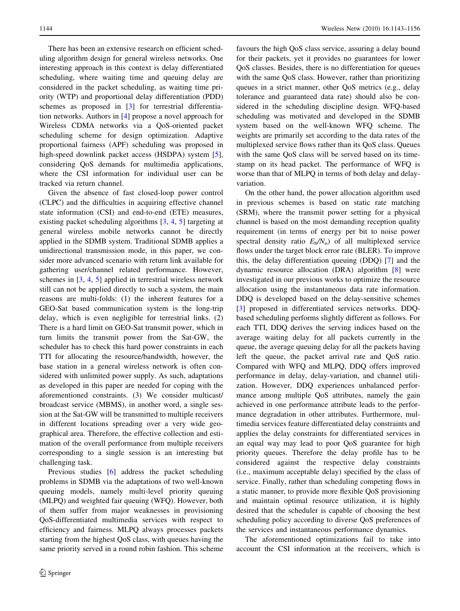There has been an extensive research on efficient scheduling algorithm design for general wireless networks. One interesting approach in this context is delay differentiated scheduling, where waiting time and queuing delay are considered in the packet scheduling, as waiting time priority (WTP) and proportional delay differentiation (PDD) schemes as proposed in [\[3](#page-11-0)] for terrestrial differentiation networks. Authors in [\[4](#page-11-0)] propose a novel approach for Wireless CDMA networks via a QoS-oriented packet scheduling scheme for design optimization. Adaptive proportional fairness (APF) scheduling was proposed in high-speed downlink packet access (HSDPA) system [\[5](#page-11-0)], considering QoS demands for multimedia applications, where the CSI information for individual user can be tracked via return channel.

Given the absence of fast closed-loop power control (CLPC) and the difficulties in acquiring effective channel state information (CSI) and end-to-end (ETE) measures, existing packet scheduling algorithms [[3,](#page-11-0) [4](#page-11-0), [5\]](#page-11-0) targeting at general wireless mobile networks cannot be directly applied in the SDMB system. Traditional SDMB applies a unidirectional transmission mode, in this paper, we consider more advanced scenario with return link available for gathering user/channel related performance. However, schemes in [\[3](#page-11-0), [4](#page-11-0), [5\]](#page-11-0) applied in terrestrial wireless network still can not be applied directly to such a system, the main reasons are multi-folds: (1) the inherent features for a GEO-Sat based communication system is the long-trip delay, which is even negligible for terrestrial links. (2) There is a hard limit on GEO-Sat transmit power, which in turn limits the transmit power from the Sat-GW, the scheduler has to check this hard power constraints in each TTI for allocating the resource/bandwidth, however, the base station in a general wireless network is often considered with unlimited power supply. As such, adaptations as developed in this paper are needed for coping with the aforementioned constraints. (3) We consider multicast/ broadcast service (MBMS), in another word, a single session at the Sat-GW will be transmitted to multiple receivers in different locations spreading over a very wide geographical area. Therefore, the effective collection and estimation of the overall performance from multiple receivers corresponding to a single session is an interesting but challenging task.

Previous studies [[6\]](#page-11-0) address the packet scheduling problems in SDMB via the adaptations of two well-known queuing models, namely multi-level priority queuing (MLPQ) and weighted fair queuing (WFQ). However, both of them suffer from major weaknesses in provisioning QoS-differentiated multimedia services with respect to efficiency and fairness. MLPQ always processes packets starting from the highest QoS class, with queues having the same priority served in a round robin fashion. This scheme favours the high QoS class service, assuring a delay bound for their packets, yet it provides no guarantees for lower QoS classes. Besides, there is no differentiation for queues with the same OoS class. However, rather than prioritizing queues in a strict manner, other QoS metrics (e.g., delay tolerance and guaranteed data rate) should also be considered in the scheduling discipline design. WFQ-based scheduling was motivated and developed in the SDMB system based on the well-known WFQ scheme. The weights are primarily set according to the data rates of the multiplexed service flows rather than its QoS class. Queues with the same QoS class will be served based on its timestamp on its head packet. The performance of WFQ is worse than that of MLPQ in terms of both delay and delayvariation.

On the other hand, the power allocation algorithm used in previous schemes is based on static rate matching (SRM), where the transmit power setting for a physical channel is based on the most demanding reception quality requirement (in terms of energy per bit to noise power spectral density ratio  $E_b/N_o$  of all multiplexed service flows under the target block error rate (BLER). To improve this, the delay differentiation queuing (DDQ) [\[7](#page-11-0)] and the dynamic resource allocation (DRA) algorithm [\[8](#page-11-0)] were investigated in our previous works to optimize the resource allocation using the instantaneous data rate information. DDQ is developed based on the delay-sensitive schemes [\[3](#page-11-0)] proposed in differentiated services networks. DDQbased scheduling performs slightly different as follows. For each TTI, DDQ derives the serving indices based on the average waiting delay for all packets currently in the queue, the average queuing delay for all the packets having left the queue, the packet arrival rate and QoS ratio. Compared with WFQ and MLPQ, DDQ offers improved performance in delay, delay-variation, and channel utilization. However, DDQ experiences unbalanced performance among multiple QoS attributes, namely the gain achieved in one performance attribute leads to the performance degradation in other attributes. Furthermore, multimedia services feature differentiated delay constraints and applies the delay constraints for differentiated services in an equal way may lead to poor QoS guarantee for high priority queues. Therefore the delay profile has to be considered against the respective delay constraints (i.e., maximum acceptable delay) specified by the class of service. Finally, rather than scheduling competing flows in a static manner, to provide more flexible QoS provisioning and maintain optimal resource utilization, it is highly desired that the scheduler is capable of choosing the best scheduling policy according to diverse QoS preferences of the services and instantaneous performance dynamics.

The aforementioned optimizations fail to take into account the CSI information at the receivers, which is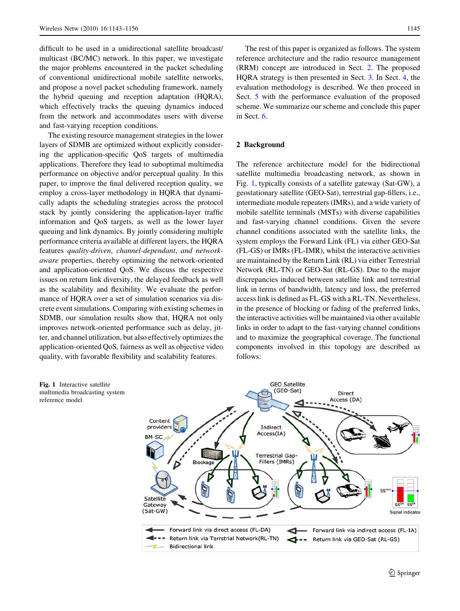<span id="page-2-0"></span>difficult to be used in a unidirectional satellite broadcast/ multicast (BC/MC) network. In this paper, we investigate the major problems encountered in the packet scheduling of conventional unidirectional mobile satellite networks, and propose a novel packet scheduling framework, namely the hybrid queuing and reception adaptation (HQRA), which effectively tracks the queuing dynamics induced from the network and accommodates users with diverse and fast-varying reception conditions.

The existing resource management strategies in the lower layers of SDMB are optimized without explicitly considering the application-specific QoS targets of multimedia applications. Therefore they lead to suboptimal multimedia performance on objective and/or perceptual quality. In this paper, to improve the final delivered reception quality, we employ a cross-layer methodology in HQRA that dynamically adapts the scheduling strategies across the protocol stack by jointly considering the application-layer traffic information and QoS targets, as well as the lower layer queuing and link dynamics. By jointly considering multiple performance criteria available at different layers, the HQRA features quality-driven, channel-dependant, and networkaware properties, thereby optimizing the network-oriented and application-oriented QoS. We discuss the respective issues on return link diversity, the delayed feedback as well as the scalability and flexibility. We evaluate the performance of HQRA over a set of simulation scenarios via discrete event simulations. Comparing with existing schemes in SDMB, our simulation results show that, HQRA not only improves network-oriented performance such as delay, jitter, and channel utilization, but also effectively optimizes the application-oriented QoS, fairness as well as objective video quality, with favorable flexibility and scalability features.

Fig. 1 Interactive satellite

reference model

The rest of this paper is organized as follows. The system reference architecture and the radio resource management (RRM) concept are introduced in Sect. 2. The proposed HQRA strategy is then presented in Sect. [3.](#page-3-0) In Sect. [4](#page-8-0), the evaluation methodology is described. We then proceed in Sect. [5](#page-9-0) with the performance evaluation of the proposed scheme. We summarize our scheme and conclude this paper in Sect. [6](#page-11-0).

# 2 Background

The reference architecture model for the bidirectional satellite multimedia broadcasting network, as shown in Fig. 1, typically consists of a satellite gateway (Sat-GW), a geostationary satellite (GEO-Sat), terrestrial gap-fillers, i.e., intermediate module repeaters (IMRs), and a wide variety of mobile satellite terminals (MSTs) with diverse capabilities and fast-varying channel conditions. Given the severe channel conditions associated with the satellite links, the system employs the Forward Link (FL) via either GEO-Sat (FL-GS) or IMRs (FL-IMR), whilst the interactive activities are maintained by the Return Link (RL) via either Terrestrial Network (RL-TN) or GEO-Sat (RL-GS). Due to the major discrepancies induced between satellite link and terrestrial link in terms of bandwidth, latency and loss, the preferred access link is defined as FL-GS with a RL-TN. Nevertheless, in the presence of blocking or fading of the preferred links, the interactive activities will be maintained via other available links in order to adapt to the fast-varying channel conditions and to maximize the geographical coverage. The functional components involved in this topology are described as follows:

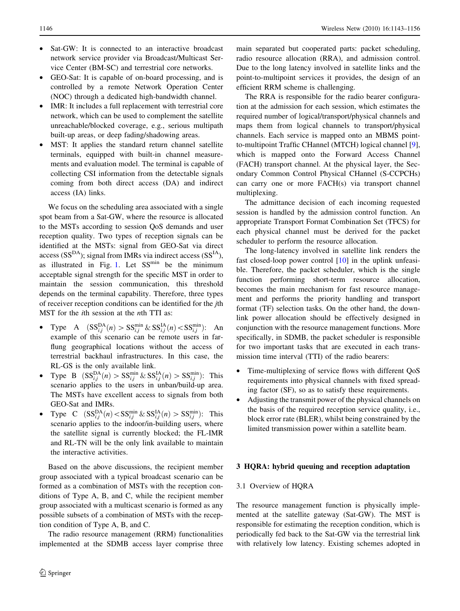- <span id="page-3-0"></span>• Sat-GW: It is connected to an interactive broadcast network service provider via Broadcast/Multicast Service Center (BM-SC) and terrestrial core networks.
- GEO-Sat: It is capable of on-board processing, and is controlled by a remote Network Operation Center (NOC) through a dedicated high-bandwidth channel.
- IMR: It includes a full replacement with terrestrial core network, which can be used to complement the satellite unreachable/blocked coverage, e.g., serious multipath built-up areas, or deep fading/shadowing areas.
- MST: It applies the standard return channel satellite terminals, equipped with built-in channel measurements and evaluation model. The terminal is capable of collecting CSI information from the detectable signals coming from both direct access (DA) and indirect access (IA) links.

We focus on the scheduling area associated with a single spot beam from a Sat-GW, where the resource is allocated to the MSTs according to session QoS demands and user reception quality. Two types of reception signals can be identified at the MSTs: signal from GEO-Sat via direct access  $(SS<sup>DA</sup>)$ ; signal from IMRs via indirect access  $(SS<sup>IA</sup>)$ , as illustrated in Fig. [1](#page-2-0). Let  $SS^{min}$  be the minimum acceptable signal strength for the specific MST in order to maintain the session communication, this threshold depends on the terminal capability. Therefore, three types of receiver reception conditions can be identified for the jth MST for the *i*th session at the *n*th TTI as:

- Type A  $(SS_{i,j}^{DA}(n) > SS_{i,j}^{min} \& SS_{i,j}^{IA}(n) < SS_{i,j}^{min})$ : An example of this scenario can be remote users in farflung geographical locations without the access of terrestrial backhaul infrastructures. In this case, the RL-GS is the only available link.
- Type B  $(SS_{i,j}^{DA}(n) > SS_{i,j}^{min} \& SS_{i,j}^{IA}(n) > SS_{i,j}^{min})$ : This scenario applies to the users in unban/build-up area. The MSTs have excellent access to signals from both GEO-Sat and IMRs.
- Type C  $(SS^{DA}_{i,j}(n) < SS^{min}_{i,j} \& SS^{IA}_{i,j}(n) > SS^{min}_{i,j})$ : This scenario applies to the indoor/in-building users, where the satellite signal is currently blocked; the FL-IMR and RL-TN will be the only link available to maintain the interactive activities.

Based on the above discussions, the recipient member group associated with a typical broadcast scenario can be formed as a combination of MSTs with the reception conditions of Type A, B, and C, while the recipient member group associated with a multicast scenario is formed as any possible subsets of a combination of MSTs with the reception condition of Type A, B, and C.

The radio resource management (RRM) functionalities implemented at the SDMB access layer comprise three

main separated but cooperated parts: packet scheduling, radio resource allocation (RRA), and admission control. Due to the long latency involved in satellite links and the point-to-multipoint services it provides, the design of an efficient RRM scheme is challenging.

The RRA is responsible for the radio bearer configuration at the admission for each session, which estimates the required number of logical/transport/physical channels and maps them from logical channels to transport/physical channels. Each service is mapped onto an MBMS pointto-multipoint Traffic CHannel (MTCH) logical channel [\[9](#page-11-0)], which is mapped onto the Forward Access Channel (FACH) transport channel. At the physical layer, the Secondary Common Control Physical CHannel (S-CCPCHs) can carry one or more FACH(s) via transport channel multiplexing.

The admittance decision of each incoming requested session is handled by the admission control function. An appropriate Transport Format Combination Set (TFCS) for each physical channel must be derived for the packet scheduler to perform the resource allocation.

The long-latency involved in satellite link renders the fast closed-loop power control [[10](#page-12-0)] in the uplink unfeasible. Therefore, the packet scheduler, which is the single function performing short-term resource allocation, becomes the main mechanism for fast resource management and performs the priority handling and transport format (TF) selection tasks. On the other hand, the downlink power allocation should be effectively designed in conjunction with the resource management functions. More specifically, in SDMB, the packet scheduler is responsible for two important tasks that are executed in each transmission time interval (TTI) of the radio bearers:

- Time-multiplexing of service flows with different QoS requirements into physical channels with fixed spreading factor (SF), so as to satisfy these requirements.
- Adjusting the transmit power of the physical channels on the basis of the required reception service quality, i.e., block error rate (BLER), whilst being constrained by the limited transmission power within a satellite beam.

# 3 HQRA: hybrid queuing and reception adaptation

## 3.1 Overview of HQRA

The resource management function is physically implemented at the satellite gateway (Sat-GW). The MST is responsible for estimating the reception condition, which is periodically fed back to the Sat-GW via the terrestrial link with relatively low latency. Existing schemes adopted in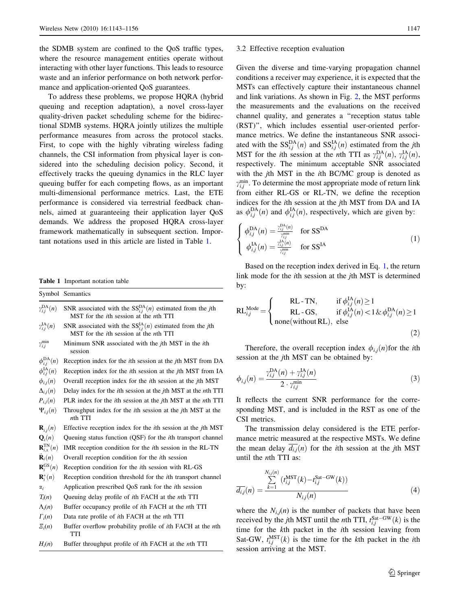the SDMB system are confined to the QoS traffic types, where the resource management entities operate without interacting with other layer functions. This leads to resource waste and an inferior performance on both network performance and application-oriented QoS guarantees.

To address these problems, we propose HQRA (hybrid queuing and reception adaptation), a novel cross-layer quality-driven packet scheduling scheme for the bidirectional SDMB systems. HQRA jointly utilizes the multiple performance measures from across the protocol stacks. First, to cope with the highly vibrating wireless fading channels, the CSI information from physical layer is considered into the scheduling decision policy. Second, it effectively tracks the queuing dynamics in the RLC layer queuing buffer for each competing flows, as an important multi-dimensional performance metrics. Last, the ETE performance is considered via terrestrial feedback channels, aimed at guaranteeing their application layer QoS demands. We address the proposed HQRA cross-layer framework mathematically in subsequent section. Important notations used in this article are listed in Table 1.

Table 1 Important notation table

|                                   | Symbol Semantics                                                                                                            |
|-----------------------------------|-----------------------------------------------------------------------------------------------------------------------------|
| $\gamma_{i,i}^{\text{DA}}(n)$     | SNR associated with the $SS_{i,j}^{DA}(n)$ estimated from the jth<br>MST for the <i>i</i> th session at the <i>n</i> th TTI |
| $\gamma_{i,j}^{\text{IA}}(n)$     | SNR associated with the $SSi,jIA(n)$ estimated from the jth<br>MST for the <i>i</i> th session at the <i>n</i> th TTI       |
| $\gamma_{i,j}^{\min}$             | Minimum SNR associated with the jth MST in the ith<br>session                                                               |
| $\phi_{i,j}^{\text{DA}}(n)$       | Reception index for the <i>i</i> th session at the <i>j</i> th MST from DA                                                  |
| $\phi_{i,j}^{\text{IA}}(n)$       | Reception index for the <i>i</i> th session at the <i>j</i> th MST from IA                                                  |
| $\phi_{i,j}(n)$                   | Overall reception index for the <i>i</i> th session at the <i>j</i> th MST                                                  |
| $\Delta_{i,j}(n)$                 | Delay index for the <i>i</i> th session at the <i>j</i> th MST at the <i>n</i> th TTI                                       |
| $P_{i,j}(n)$                      | PLR index for the <i>i</i> th session at the <i>j</i> th MST at the <i>n</i> th TTI                                         |
| $\Psi_{i,j}(n)$                   | Throughput index for the <i>i</i> th session at the <i>j</i> th MST at the<br>$nth$ TTI                                     |
| $\mathbf{R}_{i,j}(n)$             | Effective reception index for the <i>i</i> th session at the <i>j</i> th MST                                                |
| $\mathbf{Q}_i(n)$                 | Queuing status function (QSF) for the <i>i</i> th transport channel                                                         |
| $\mathbf{R}_{i,x}^{\text{TN}}(n)$ | IMR reception condition for the <i>i</i> th session in the RL-TN                                                            |
| $\mathbf{\hat{R}}_i(n)$           | Overall reception condition for the <i>i</i> th session                                                                     |
| $\mathbf{R}^{\text{GS}}_i(n)$     | Reception condition for the <i>i</i> th session with RL-GS                                                                  |
| $\mathbf{R}_{i}^{*}(n)$           | Reception condition threshold for the <i>i</i> th transport channel                                                         |
| $\alpha_i$                        | Application prescribed QoS rank for the <i>i</i> th session                                                                 |
| $T_i(n)$                          | Queuing delay profile of <i>i</i> th FACH at the <i>n</i> th TTI                                                            |
| $\Lambda_i(n)$                    | Buffer occupancy profile of <i>i</i> th FACH at the <i>n</i> th TTI                                                         |
| $\Gamma_i(n)$                     | Data rate profile of <i>i</i> th FACH at the <i>n</i> th TTI                                                                |
| $E_i(n)$                          | Buffer overflow probability profile of <i>i</i> th FACH at the <i>n</i> th<br>TTI                                           |
| $H_i(n)$                          | Buffer throughput profile of <i>i</i> th FACH at the <i>n</i> th TTI                                                        |

#### 3.2 Effective reception evaluation

Given the diverse and time-varying propagation channel conditions a receiver may experience, it is expected that the MSTs can effectively capture their instantaneous channel and link variations. As shown in Fig. [2](#page-5-0), the MST performs the measurements and the evaluations on the received channel quality, and generates a ''reception status table (RST)'', which includes essential user-oriented performance metrics. We define the instantaneous SNR associated with the  $SS^{DA}_{i,j}(n)$  and  $SS^{IA}_{i,j}(n)$  estimated from the jth MST for the *i*th session at the *n*th TTI as  $\gamma_{i,j}^{\text{DA}}(n)$ ,  $\gamma_{i,j}^{\text{IA}}(n)$ , respectively. The minimum acceptable SNR associated with the jth MST in the *i*th BC/MC group is denoted as  $\gamma_{i,j}^{\min}$ . To determine the most appropriate mode of return link from either RL-GS or RL-TN, we define the reception indices for the ith session at the jth MST from DA and IA as  $\phi_{i,j}^{DA}(n)$  and  $\phi_{i,j}^{IA}(n)$ , respectively, which are given by:

$$
\begin{cases}\n\phi_{i,j}^{\text{DA}}(n) = \frac{\gamma_{i,j}^{\text{DA}}(n)}{\gamma_{i,j}^{\min}} & \text{for } \text{SSDA} \\
\phi_{i,j}^{\text{IA}}(n) = \frac{\gamma_{i,j}^{\text{IA}}(n)}{\gamma_{i,j}^{\min}} & \text{for } \text{SSIA}\n\end{cases}
$$
\n(1)

Based on the reception index derived in Eq. 1, the return link mode for the ith session at the jth MST is determined by:

$$
RL_{i,j}^{\text{Mode}} = \begin{cases} RL - TN, & \text{if } \phi_{i,j}^{\text{IA}}(n) \ge 1 \\ RL - GS, & \text{if } \phi_{i,j}^{\text{IA}}(n) < 1 \& \phi_{i,j}^{\text{DA}}(n) \ge 1 \\ \text{none}(\text{without RL}), \text{ else} \end{cases}
$$
(2)

Therefore, the overall reception index  $\phi_{i,j}(n)$  for the *i*th session at the jth MST can be obtained by:

$$
\phi_{ij}(n) = \frac{\gamma_{ij}^{\text{DA}}(n) + \gamma_{ij}^{\text{IA}}(n)}{2 \cdot \gamma_{ij}^{\min}} \tag{3}
$$

It reflects the current SNR performance for the corresponding MST, and is included in the RST as one of the CSI metrics.

The transmission delay considered is the ETE performance metric measured at the respective MSTs. We define the mean delay  $d_{i,j}(n)$  for the *i*th session at the *j*th MST until the nth TTI as:

$$
\overline{d_{i,j}}(n) = \frac{\sum_{k=1}^{N_{i,j}(n)} (t_{i,j}^{\text{MST}}(k) - t_{i,j}^{\text{Sat-GW}}(k))}{N_{i,j}(n)}
$$
(4)

na sa k

where the  $N_{i,j}(n)$  is the number of packets that have been received by the *j*th MST until the *n*th TTI,  $t_{i,j}^{\text{Sat-GW}}(k)$  is the time for the kth packet in the ith session leaving from Sat-GW,  $t_{i,j}^{\text{MST}}(k)$  is the time for the kth packet in the *i*th session arriving at the MST.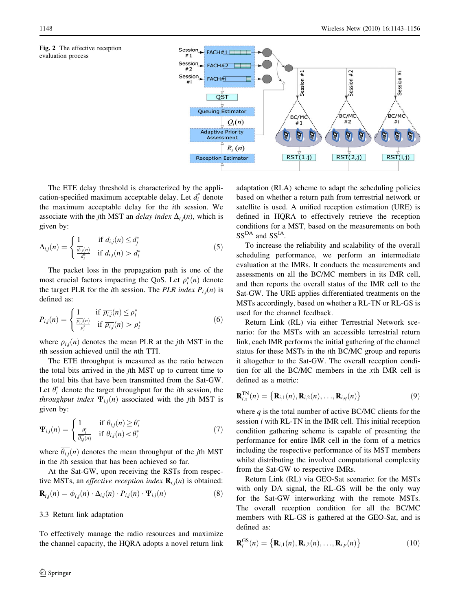<span id="page-5-0"></span>



The ETE delay threshold is characterized by the application-specified maximum acceptable delay. Let  $d_i^*$  denote the maximum acceptable delay for the ith session. We associate with the jth MST an *delay index*  $\Delta_{i,j}(n)$ , which is given by:

$$
\Delta_{i,j}(n) = \begin{cases} \n\frac{1}{d_{i,j}(n)} & \text{if } \overline{d_{i,j}}(n) \le d_j^* \\ \n\frac{d_{i,j}(n)}{d_i^*} & \text{if } \overline{d_{i,j}}(n) > d_i^* \n\end{cases} \tag{5}
$$

The packet loss in the propagation path is one of the most crucial factors impacting the QoS. Let  $\rho_i^*(n)$  denote the target PLR for the *i*th session. The *PLR index*  $P_{i,j}(n)$  is defined as:

$$
P_{i,j}(n) = \begin{cases} \n\frac{1}{\rho_{i,j}(n)} & \text{if } \overline{\rho_{i,j}}(n) \le \rho_i^* \\ \n\frac{\overline{\rho_{i,j}}(n)}{\rho_i^*} & \text{if } \overline{\rho_{i,j}}(n) > \rho_i^* \n\end{cases} \tag{6}
$$

where  $\overline{\rho_{i,j}}(n)$  denotes the mean PLR at the jth MST in the ith session achieved until the nth TTI.

The ETE throughput is measured as the ratio between the total bits arrived in the jth MST up to current time to the total bits that have been transmitted from the Sat-GW. Let  $\theta_i^*$  denote the target throughput for the *i*th session, the throughput index  $\Psi_{i,j}(n)$  associated with the jth MST is given by:

$$
\Psi_{i,j}(n) = \begin{cases} 1 & \text{if } \overline{\theta_{i,j}}(n) \ge \theta_i^* \\ \frac{\theta_i^*}{\theta_{i,j}(n)} & \text{if } \overline{\theta_{i,j}}(n) < \theta_i^* \end{cases}
$$
(7)

where  $\overline{\theta_{i,j}}(n)$  denotes the mean throughput of the jth MST in the ith session that has been achieved so far.

At the Sat-GW, upon receiving the RSTs from respective MSTs, an *effective reception index*  $\mathbf{R}_{i,j}(n)$  is obtained:  $\mathbf{R}_{ij}(n) = \phi_{ij}(n) \cdot \Delta_{ij}(n) \cdot P_{ij}(n) \cdot \Psi_{ij}(n)$  (8)

3.3 Return link adaptation

To effectively manage the radio resources and maximize the channel capacity, the HQRA adopts a novel return link adaptation (RLA) scheme to adapt the scheduling policies based on whether a return path from terrestrial network or satellite is used. A unified reception estimation (URE) is defined in HQRA to effectively retrieve the reception conditions for a MST, based on the measurements on both SS<sup>DA</sup> and SS<sup>IA</sup>.

To increase the reliability and scalability of the overall scheduling performance, we perform an intermediate evaluation at the IMRs. It conducts the measurements and assessments on all the BC/MC members in its IMR cell, and then reports the overall status of the IMR cell to the Sat-GW. The URE applies differentiated treatments on the MSTs accordingly, based on whether a RL-TN or RL-GS is used for the channel feedback.

Return Link (RL) via either Terrestrial Network scenario: for the MSTs with an accessible terrestrial return link, each IMR performs the initial gathering of the channel status for these MSTs in the ith BC/MC group and reports it altogether to the Sat-GW. The overall reception condition for all the BC/MC members in the xth IMR cell is defined as a metric:

$$
\mathbf{R}_{i,x}^{\text{TN}}(n) = \left\{ \mathbf{R}_{i,1}(n), \mathbf{R}_{i,2}(n), \ldots, \mathbf{R}_{i,q}(n) \right\}
$$
 (9)

where  $q$  is the total number of active BC/MC clients for the session *i* with RL-TN in the IMR cell. This initial reception condition gathering scheme is capable of presenting the performance for entire IMR cell in the form of a metrics including the respective performance of its MST members whilst distributing the involved computational complexity from the Sat-GW to respective IMRs.

Return Link (RL) via GEO-Sat scenario: for the MSTs with only DA signal, the RL-GS will be the only way for the Sat-GW interworking with the remote MSTs. The overall reception condition for all the BC/MC members with RL-GS is gathered at the GEO-Sat, and is defined as:

$$
\mathbf{R}_i^{\mathrm{GS}}(n) = \left\{ \mathbf{R}_{i,1}(n), \mathbf{R}_{i,2}(n), \ldots, \mathbf{R}_{i,p}(n) \right\}
$$
 (10)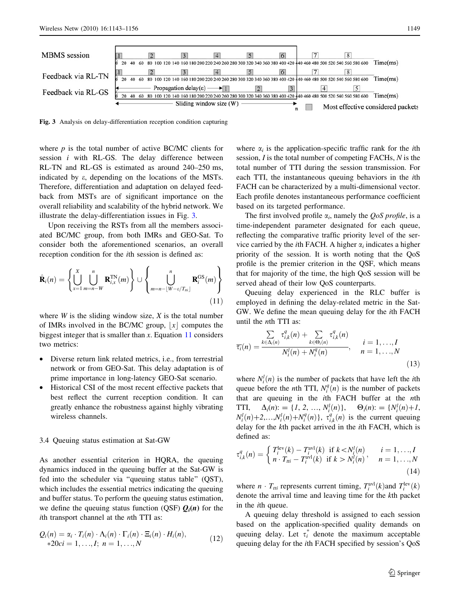

Fig. 3 Analysis on delay-differentiation reception condition capturing

where  $p$  is the total number of active BC/MC clients for session  $i$  with RL-GS. The delay difference between RL-TN and RL-GS is estimated as around 240–250 ms, indicated by e, depending on the locations of the MSTs. Therefore, differentiation and adaptation on delayed feedback from MSTs are of significant importance on the overall reliability and scalability of the hybrid network. We illustrate the delay-differentiation issues in Fig. 3.

Upon receiving the RSTs from all the members associated BC/MC group, from both IMRs and GEO-Sat. To consider both the aforementioned scenarios, an overall reception condition for the ith session is defined as:

$$
\hat{\mathbf{R}}_i(n) = \left\{ \bigcup_{x=1}^X \bigcup_{m=n-W}^n \mathbf{R}_{i,x}^{\text{TN}}(m) \right\} \cup \left\{ \bigcup_{m=n-\lfloor W-\varepsilon/T_{m} \rfloor}^n \mathbf{R}_i^{\text{GS}}(m) \right\}
$$
(11)

where  $W$  is the sliding window size,  $X$  is the total number of IMRs involved in the BC/MC group,  $|x|$  computes the biggest integer that is smaller than  $x$ . Equation 11 considers two metrics:

- Diverse return link related metrics, i.e., from terrestrial network or from GEO-Sat. This delay adaptation is of prime importance in long-latency GEO-Sat scenario.
- Historical CSI of the most recent effective packets that best reflect the current reception condition. It can greatly enhance the robustness against highly vibrating wireless channels.

#### 3.4 Queuing status estimation at Sat-GW

As another essential criterion in HQRA, the queuing dynamics induced in the queuing buffer at the Sat-GW is fed into the scheduler via ''queuing status table'' (QST), which includes the essential metrics indicating the queuing and buffer status. To perform the queuing status estimation, we define the queuing status function (QSF)  $Q_i(n)$  for the ith transport channel at the nth TTI as:

$$
Q_i(n) = \alpha_i \cdot T_i(n) \cdot \Lambda_i(n) \cdot \Gamma_i(n) \cdot \Xi_i(n) \cdot H_i(n),
$$
  
\n\*20*ci* = 1, ..., *I*; *n* = 1, ..., *N* (12)

where  $\alpha_i$  is the application-specific traffic rank for the *i*th session, I is the total number of competing FACHs, N is the total number of TTI during the session transmission. For each TTI, the instantaneous queuing behaviors in the ith FACH can be characterized by a multi-dimensional vector. Each profile denotes instantaneous performance coefficient based on its targeted performance.

The first involved profile  $\alpha_i$ , namely the *QoS profile*, is a time-independent parameter designated for each queue, reflecting the comparative traffic priority level of the service carried by the *i*th FACH. A higher  $\alpha_i$  indicates a higher priority of the session. It is worth noting that the QoS profile is the premier criterion in the QSF, which means that for majority of the time, the high QoS session will be served ahead of their low QoS counterparts.

Queuing delay experienced in the RLC buffer is employed in defining the delay-related metric in the Sat-GW. We define the mean queuing delay for the ith FACH until the nth TTI as:

$$
\overline{\tau_i}(n) = \frac{\sum\limits_{k \in \Delta_i(n)} \tau_{i,k}^q(n) + \sum\limits_{k \in \Theta_i(n)} \tau_{i,k}^q(n)}{N_i^l(n) + N_i^q(n)}, \quad i = 1, \ldots, I
$$
\n
$$
n = 1, \ldots, N
$$
\n(13)

where  $N_i^l(n)$  is the number of packets that have left the *i*th queue before the *n*th TTI,  $N_i^q(n)$  is the number of packets that are queuing in the ith FACH buffer at the nth TTI,  $\Delta_i(n)$ : = {1, 2, ...,  $N_i^l(n)$ },  $\Theta_i^{l}(n)$ },  $\Theta_i(n)$ : = { $N_i^{l}(n)+1$ ,  $N_i^l(n)+2,...,N_i^l(n)+N_i^q(n)$ ,  $\tau_{i,k}^q(n)$  is the current queuing delay for the kth packet arrived in the ith FACH, which is defined as:

$$
\tau_{i,k}^q(n) = \begin{cases} T_i^{\text{lev}}(k) - T_i^{\text{avl}}(k) & \text{if } k < N_i^l(n) \\ n \cdot T_{ti} - T_i^{\text{avl}}(k) & \text{if } k > N_i^l(n) \end{cases}, \quad i = 1, \dots, N \tag{14}
$$

where  $n \cdot T_{ti}$  represents current timing,  $T_i^{\text{avl}}(k)$  and  $T_i^{\text{lev}}(k)$ denote the arrival time and leaving time for the kth packet in the ith queue.

A queuing delay threshold is assigned to each session based on the application-specified quality demands on queuing delay. Let  $\tau_i^*$  denote the maximum acceptable queuing delay for the ith FACH specified by session's QoS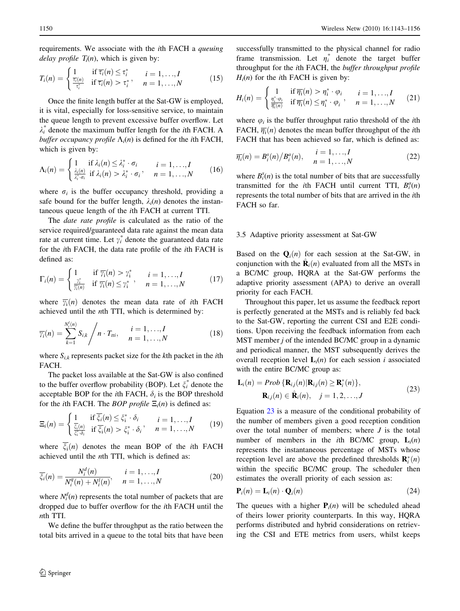requirements. We associate with the *i*th FACH a *queuing* delay profile  $T_i(n)$ , which is given by:

$$
T_i(n) = \begin{cases} 1 & \text{if } \overline{\tau_i}(n) \leq \tau_i^* \\ \frac{\overline{\tau_i}(n)}{\tau_i^*} & \text{if } \overline{\tau_i}(n) > \tau_i^* \end{cases}, \quad i = 1, ..., I \qquad (15)
$$

Once the finite length buffer at the Sat-GW is employed, it is vital, especially for loss-sensitive service, to maintain the queue length to prevent excessive buffer overflow. Let  $\lambda_i^*$  denote the maximum buffer length for the *i*th FACH. A buffer occupancy profile  $\Lambda_i(n)$  is defined for the *i*th FACH, which is given by:

$$
\Lambda_i(n) = \begin{cases} 1 & \text{if } \lambda_i(n) \leq \lambda_i^* \cdot \sigma_i \\ \frac{\lambda_i(n)}{\lambda_i^* \cdot \sigma_i} & \text{if } \lambda_i(n) > \lambda_i^* \cdot \sigma_i \end{cases}, \quad i = 1, \dots, I \qquad (16)
$$

where  $\sigma_i$  is the buffer occupancy threshold, providing a safe bound for the buffer length,  $\lambda_i(n)$  denotes the instantaneous queue length of the ith FACH at current TTI.

The date rate profile is calculated as the ratio of the service required/guaranteed data rate against the mean data rate at current time. Let  $\gamma_i^*$  denote the guaranteed data rate for the ith FACH, the data rate profile of the ith FACH is defined as:

$$
\Gamma_i(n) = \begin{cases} 1 & \text{if } \overline{\gamma_i}(n) > \gamma_i^* \\ \frac{\gamma_i^*}{\overline{\gamma_i}(n)} & \text{if } \overline{\gamma_i}(n) \leq \gamma_i^* \end{cases}, \quad i = 1, \dots, I \qquad (17)
$$

where  $\overline{\gamma_i}(n)$  denotes the mean data rate of ith FACH achieved until the nth TTI, which is determined by:

$$
\overline{\gamma_i}(n) = \sum_{k=1}^{N_i^l(n)} S_{i,k} / n \cdot T_{ti}, \quad i = 1, \ldots, I
$$
  
\n
$$
n = 1, \ldots, N
$$
\n(18)

where  $S_{i,k}$  represents packet size for the *k*th packet in the *i*th FACH.

The packet loss available at the Sat-GW is also confined to the buffer overflow probability (BOP). Let  $\zeta_i^*$  denote the acceptable BOP for the *i*th FACH,  $\delta_i$  is the BOP threshold for the *i*th FACH. The *BOP profile*  $\Xi_i(n)$  is defined as:

$$
\Xi_i(n) = \begin{cases} \frac{1}{\xi_i(n)} & \text{if } \overline{\xi_i}(n) \leq \xi_i^* \cdot \delta_i \\ \frac{\overline{\xi_i}(n)}{\xi_i^* \cdot \delta_i} & \text{if } \overline{\xi_i}(n) > \xi_i^* \cdot \delta_i \end{cases}, \quad i = 1, \dots, I \quad (19)
$$

where  $\overline{\xi_i}(n)$  denotes the mean BOP of the *i*th FACH achieved until the nth TTI, which is defined as:

$$
\overline{\xi_i}(n) = \frac{N_i^d(n)}{N_i^q(n) + N_i^l(n)}, \quad i = 1, \dots, I
$$
\n
$$
n = 1, \dots, N
$$
\n(20)

where  $N_i^d(n)$  represents the total number of packets that are dropped due to buffer overflow for the ith FACH until the nth TTI.

We define the buffer throughput as the ratio between the total bits arrived in a queue to the total bits that have been

<sup>2</sup> Springer

successfully transmitted to the physical channel for radio frame transmission. Let  $\eta_i^*$  denote the target buffer throughput for the ith FACH, the buffer throughput profile  $H_i(n)$  for the *i*th FACH is given by:

$$
H_i(n) = \begin{cases} 1 & \text{if } \overline{\eta_i}(n) > \eta_i^* \cdot \varphi_i \\ \frac{\eta_i^* \cdot \varphi_i}{\overline{\eta_i}(n)} & \text{if } \overline{\eta_i}(n) \leq \eta_i^* \cdot \varphi_i \end{cases}, \quad i = 1, \dots, I \qquad (21)
$$

where  $\varphi_i$  is the buffer throughput ratio threshold of the *i*th FACH,  $\overline{\eta_i}(n)$  denotes the mean buffer throughput of the *i*th FACH that has been achieved so far, which is defined as:

$$
\overline{\eta_i}(n) = B_i^s(n) \big/ B_i^a(n), \quad i = 1, \dots, I
$$
  
\n
$$
n = 1, \dots, N
$$
\n(22)

where  $B_i^s(n)$  is the total number of bits that are successfully transmitted for the *i*th FACH until current TTI,  $B_i^a(n)$ represents the total number of bits that are arrived in the ith FACH so far.

### 3.5 Adaptive priority assessment at Sat-GW

Based on the  $Q_i(n)$  for each session at the Sat-GW, in conjunction with the  $\hat{\mathbf{R}}_i(n)$  evaluated from all the MSTs in a BC/MC group, HQRA at the Sat-GW performs the adaptive priority assessment (APA) to derive an overall priority for each FACH.

Throughout this paper, let us assume the feedback report is perfectly generated at the MSTs and is reliably fed back to the Sat-GW, reporting the current CSI and E2E conditions. Upon receiving the feedback information from each MST member j of the intended BC/MC group in a dynamic and periodical manner, the MST subsequently derives the overall reception level  $L_i(n)$  for each session i associated with the entire BC/MC group as:

$$
\mathbf{L}_{i}(n) = Prob\{\mathbf{R}_{i,j}(n)|\mathbf{R}_{i,j}(n) \geq \mathbf{R}_{i}^{*}(n)\},
$$
  

$$
\mathbf{R}_{i,j}(n) \in \hat{\mathbf{R}}_{i}(n), \quad j = 1, 2, ..., J
$$
 (23)

Equation 23 is a measure of the conditional probability of the number of members given a good reception condition over the total number of members; where  $J$  is the total number of members in the *i*th BC/MC group,  $L_i(n)$ represents the instantaneous percentage of MSTs whose reception level are above the predefined thresholds  $\mathbf{R}_i^*(n)$ within the specific BC/MC group. The scheduler then estimates the overall priority of each session as:

$$
\mathbf{P}_i(n) = \mathbf{L}_i(n) \cdot \mathbf{Q}_i(n) \tag{24}
$$

The queues with a higher  $P_i(n)$  will be scheduled ahead of theirs lower priority counterparts. In this way, HQRA performs distributed and hybrid considerations on retrieving the CSI and ETE metrics from users, whilst keeps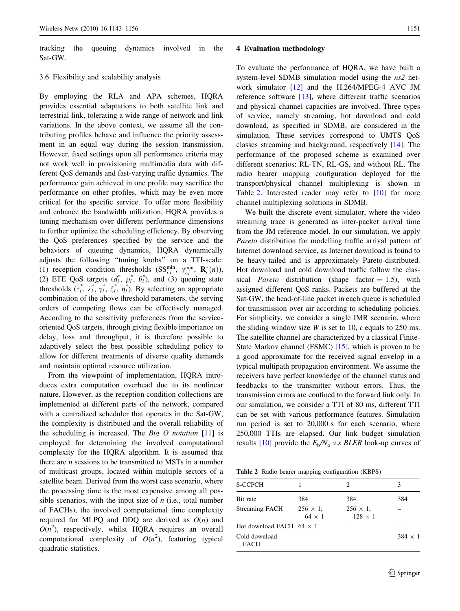<span id="page-8-0"></span>tracking the queuing dynamics involved in the Sat-GW.

#### 3.6 Flexibility and scalability analysis

By employing the RLA and APA schemes, HQRA provides essential adaptations to both satellite link and terrestrial link, tolerating a wide range of network and link variations. In the above context, we assume all the contributing profiles behave and influence the priority assessment in an equal way during the session transmission. However, fixed settings upon all performance criteria may not work well in provisioning multimedia data with different QoS demands and fast-varying traffic dynamics. The performance gain achieved in one profile may sacrifice the performance on other profiles, which may be even more critical for the specific service. To offer more flexibility and enhance the bandwidth utilization, HQRA provides a tuning mechanism over different performance dimensions to further optimize the scheduling efficiency. By observing the QoS preferences specified by the service and the behaviors of queuing dynamics, HQRA dynamically adjusts the following ''tuning knobs'' on a TTI-scale: (1) reception condition thresholds  $(SS_{i,j}^{min}, \gamma_{i,j}^{min}, \mathbf{R}_{i}^{*}(n)),$ (2) ETE QoS targets  $(d_i^*, \rho_i^*, \theta_i^*)$ , and (3) queuing state thresholds  $(\tau_i^*, \lambda_i^*, \gamma_i^*, \xi_i^*, \eta_i^*)$ . By selecting an appropriate combination of the above threshold parameters, the serving orders of competing flows can be effectively managed. According to the sensitivity preferences from the serviceoriented QoS targets, through giving flexible importance on delay, loss and throughput, it is therefore possible to adaptively select the best possible scheduling policy to allow for different treatments of diverse quality demands and maintain optimal resource utilization.

From the viewpoint of implementation, HQRA introduces extra computation overhead due to its nonlinear nature. However, as the reception condition collections are implemented at different parts of the network, compared with a centralized scheduler that operates in the Sat-GW, the complexity is distributed and the overall reliability of the scheduling is increased. The Big O notation  $[11]$  $[11]$  is employed for determining the involved computational complexity for the HQRA algorithm. It is assumed that there are n sessions to be transmitted to MSTs in a number of multicast groups, located within multiple sectors of a satellite beam. Derived from the worst case scenario, where the processing time is the most expensive among all possible scenarios, with the input size of  $n$  (i.e., total number of FACHs), the involved computational time complexity required for MLPQ and DDQ are derived as  $O(n)$  and  $O(n^2)$ , respectively, whilst HQRA requires an overall computational complexity of  $O(n^2)$ , featuring typical quadratic statistics.

#### 4 Evaluation methodology

To evaluate the performance of HQRA, we have built a system-level SDMB simulation model using the ns2 network simulator [\[12](#page-12-0)] and the H.264/MPEG-4 AVC JM reference software [\[13](#page-12-0)], where different traffic scenarios and physical channel capacities are involved. Three types of service, namely streaming, hot download and cold download, as specified in SDMB, are considered in the simulation. These services correspond to UMTS QoS classes streaming and background, respectively [[14\]](#page-12-0). The performance of the proposed scheme is examined over different scenarios: RL-TN, RL-GS, and without RL. The radio bearer mapping configuration deployed for the transport/physical channel multiplexing is shown in Table 2. Interested reader may refer to [[10\]](#page-12-0) for more channel multiplexing solutions in SDMB.

We built the discrete event simulator, where the video streaming trace is generated as inter-packet arrival time from the JM reference model. In our simulation, we apply Pareto distribution for modelling traffic arrival pattern of Internet download service, as Internet download is found to be heavy-tailed and is approximately Pareto-distributed. Hot download and cold download traffic follow the classical *Pareto* distribution (shape factor  $= 1.5$ ), with assigned different QoS ranks. Packets are buffered at the Sat-GW, the head-of-line packet in each queue is scheduled for transmission over air according to scheduling policies. For simplicity, we consider a single IMR scenario, where the sliding window size *W* is set to 10,  $\varepsilon$  equals to 250 ms. The satellite channel are characterized by a classical Finite-State Markov channel (FSMC) [\[15](#page-12-0)], which is proven to be a good approximate for the received signal envelop in a typical multipath propagation environment. We assume the receivers have perfect knowledge of the channel status and feedbacks to the transmitter without errors. Thus, the transmission errors are confined to the forward link only. In our simulation, we consider a TTI of 80 ms, different TTI can be set with various performance features. Simulation run period is set to 20,000 s for each scenario, where 250,000 TTIs are elapsed. Our link budget simulation results [[10\]](#page-12-0) provide the  $E_{\rm b}/N_{\rm o}$  v.s BLER look-up curves of

Table 2 Radio bearer mapping configuration (KBPS)

| <b>S-CCPCH</b>                  |                                   | 2                                  | 3              |
|---------------------------------|-----------------------------------|------------------------------------|----------------|
| Bit rate                        | 384                               | 384                                | 384            |
| <b>Streaming FACH</b>           | $256 \times 1$ ;<br>$64 \times 1$ | $256 \times 1$ ;<br>$128 \times 1$ |                |
| Hot download FACH $64 \times 1$ |                                   |                                    |                |
| Cold download<br><b>FACH</b>    |                                   |                                    | $384 \times 1$ |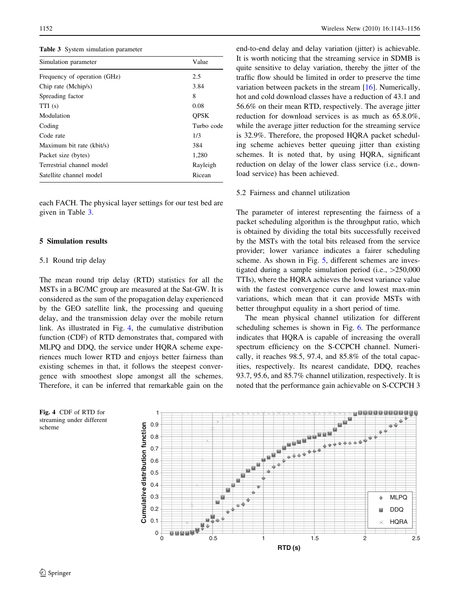<span id="page-9-0"></span>

|  |  | <b>Table 3</b> System simulation parameter |  |
|--|--|--------------------------------------------|--|
|--|--|--------------------------------------------|--|

| Simulation parameter         | Value       |
|------------------------------|-------------|
| Frequency of operation (GHz) | 2.5         |
| Chip rate (Mchip/s)          | 3.84        |
| Spreading factor             | 8           |
| TTI(s)                       | 0.08        |
| Modulation                   | <b>OPSK</b> |
| Coding                       | Turbo code  |
| Code rate                    | 1/3         |
| Maximum bit rate (kbit/s)    | 384         |
| Packet size (bytes)          | 1,280       |
| Terrestrial channel model    | Rayleigh    |
| Satellite channel model      | Ricean      |

each FACH. The physical layer settings for our test bed are given in Table 3.

# 5 Simulation results

# 5.1 Round trip delay

The mean round trip delay (RTD) statistics for all the MSTs in a BC/MC group are measured at the Sat-GW. It is considered as the sum of the propagation delay experienced by the GEO satellite link, the processing and queuing delay, and the transmission delay over the mobile return link. As illustrated in Fig. 4, the cumulative distribution function (CDF) of RTD demonstrates that, compared with MLPQ and DDQ, the service under HQRA scheme experiences much lower RTD and enjoys better fairness than existing schemes in that, it follows the steepest convergence with smoothest slope amongst all the schemes. Therefore, it can be inferred that remarkable gain on the

Fig. 4 CDF of RTD for streaming under different scheme

end-to-end delay and delay variation (jitter) is achievable. It is worth noticing that the streaming service in SDMB is quite sensitive to delay variation, thereby the jitter of the traffic flow should be limited in order to preserve the time variation between packets in the stream [[16\]](#page-12-0). Numerically, hot and cold download classes have a reduction of 43.1 and 56.6% on their mean RTD, respectively. The average jitter reduction for download services is as much as 65.8.0%, while the average jitter reduction for the streaming service is 32.9%. Therefore, the proposed HQRA packet scheduling scheme achieves better queuing jitter than existing schemes. It is noted that, by using HQRA, significant reduction on delay of the lower class service (i.e., download service) has been achieved.

## 5.2 Fairness and channel utilization

The parameter of interest representing the fairness of a packet scheduling algorithm is the throughput ratio, which is obtained by dividing the total bits successfully received by the MSTs with the total bits released from the service provider; lower variance indicates a fairer scheduling scheme. As shown in Fig. [5](#page-10-0), different schemes are investigated during a sample simulation period (i.e.,  $>250,000$ TTIs), where the HQRA achieves the lowest variance value with the fastest convergence curve and lowest max-min variations, which mean that it can provide MSTs with better throughput equality in a short period of time.

The mean physical channel utilization for different scheduling schemes is shown in Fig. [6.](#page-10-0) The performance indicates that HQRA is capable of increasing the overall spectrum efficiency on the S-CCPCH channel. Numerically, it reaches 98.5, 97.4, and 85.8% of the total capacities, respectively. Its nearest candidate, DDQ, reaches 93.7, 95.6, and 85.7% channel utilization, respectively. It is noted that the performance gain achievable on S-CCPCH 3

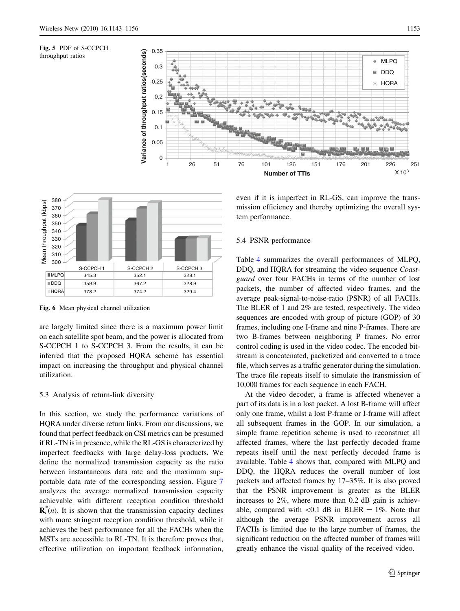<span id="page-10-0"></span>



Fig. 6 Mean physical channel utilization

are largely limited since there is a maximum power limit on each satellite spot beam, and the power is allocated from S-CCPCH 1 to S-CCPCH 3. From the results, it can be inferred that the proposed HQRA scheme has essential impact on increasing the throughput and physical channel utilization.

# 5.3 Analysis of return-link diversity

In this section, we study the performance variations of HQRA under diverse return links. From our discussions, we found that perfect feedback on CSI metrics can be presumed if RL-TN is in presence, while the RL-GS is characterized by imperfect feedbacks with large delay-loss products. We define the normalized transmission capacity as the ratio between instantaneous data rate and the maximum supportable data rate of the corresponding session. Figure [7](#page-11-0) analyzes the average normalized transmission capacity achievable with different reception condition threshold  $\mathbf{R}_i^*(n)$ . It is shown that the transmission capacity declines with more stringent reception condition threshold, while it achieves the best performance for all the FACHs when the MSTs are accessible to RL-TN. It is therefore proves that, effective utilization on important feedback information, even if it is imperfect in RL-GS, can improve the transmission efficiency and thereby optimizing the overall system performance.

# 5.4 PSNR performance

Table [4](#page-11-0) summarizes the overall performances of MLPQ, DDQ, and HQRA for streaming the video sequence Coastguard over four FACHs in terms of the number of lost packets, the number of affected video frames, and the average peak-signal-to-noise-ratio (PSNR) of all FACHs. The BLER of 1 and 2% are tested, respectively. The video sequences are encoded with group of picture (GOP) of 30 frames, including one I-frame and nine P-frames. There are two B-frames between neighboring P frames. No error control coding is used in the video codec. The encoded bitstream is concatenated, packetized and converted to a trace file, which serves as a traffic generator during the simulation. The trace file repeats itself to simulate the transmission of 10,000 frames for each sequence in each FACH.

At the video decoder, a frame is affected whenever a part of its data is in a lost packet. A lost B-frame will affect only one frame, whilst a lost P-frame or I-frame will affect all subsequent frames in the GOP. In our simulation, a simple frame repetition scheme is used to reconstruct all affected frames, where the last perfectly decoded frame repeats itself until the next perfectly decoded frame is available. Table [4](#page-11-0) shows that, compared with MLPQ and DDQ, the HQRA reduces the overall number of lost packets and affected frames by 17–35%. It is also proved that the PSNR improvement is greater as the BLER increases to 2%, where more than 0.2 dB gain is achievable, compared with  $\langle 0.1 \text{ dB} \rangle$  in BLER = 1%. Note that although the average PSNR improvement across all FACHs is limited due to the large number of frames, the significant reduction on the affected number of frames will greatly enhance the visual quality of the received video.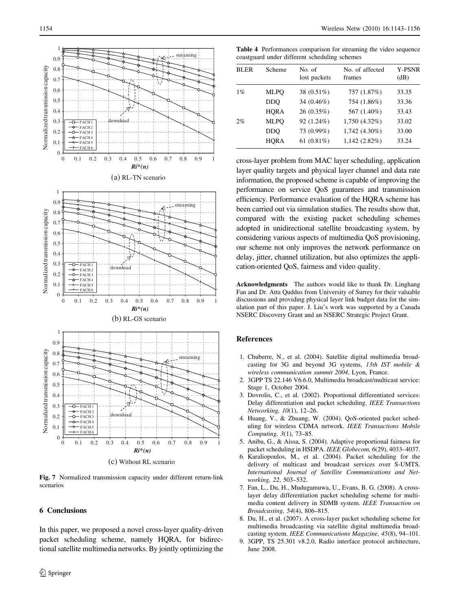<span id="page-11-0"></span>

Fig. 7 Normalized transmission capacity under different return-link scenarios

# 6 Conclusions

In this paper, we proposed a novel cross-layer quality-driven packet scheduling scheme, namely HQRA, for bidirectional satellite multimedia networks. By jointly optimizing the

Table 4 Performances comparison for streaming the video sequence coastguard under different scheduling schemes

| <b>BLER</b> | Scheme      | No. of<br>lost packets | No. of affected<br>frames | <b>Y-PSNR</b><br>(dB) |
|-------------|-------------|------------------------|---------------------------|-----------------------|
| $1\%$       | <b>MLPO</b> | 38 (0.51%)             | 757 (1.87%)               | 33.35                 |
|             | <b>DDO</b>  | 34 (0.46%)             | 754 (1.86%)               | 33.36                 |
|             | <b>HORA</b> | 26 (0.35%)             | 567 (1.40%)               | 33.43                 |
| 2%          | <b>MLPO</b> | 92 (1.24%)             | $1,750(4.32\%)$           | 33.02                 |
|             | <b>DDO</b>  | 73 (0.99%)             | 1,742 (4.30%)             | 33.00                 |
|             | <b>HORA</b> | 61 $(0.81\%)$          | $1,142(2.82\%)$           | 33.24                 |

cross-layer problem from MAC layer scheduling, application layer quality targets and physical layer channel and data rate information, the proposed scheme is capable of improving the performance on service QoS guarantees and transmission efficiency. Performance evaluation of the HQRA scheme has been carried out via simulation studies. The results show that, compared with the existing packet scheduling schemes adopted in unidirectional satellite broadcasting system, by considering various aspects of multimedia QoS provisioning, our scheme not only improves the network performance on delay, jitter, channel utilization, but also optimizes the application-oriented QoS, fairness and video quality.

Acknowledgments The authors would like to thank Dr. Linghang Fan and Dr. Atta Quddus from University of Surrey for their valuable discussions and providing physical layer link budget data for the simulation part of this paper. J. Liu's work was supported by a Canada NSERC Discovery Grant and an NSERC Strategic Project Grant.

#### References

- 1. Chuberre, N., et al. (2004). Satellite digital multimedia broadcasting for 3G and beyond 3G systems, 13th IST mobile & wireless communication summit 2004, Lyon, France.
- 2. 3GPP TS 22.146 V6.6.0, Multimedia broadcast/multicast service: Stage 1, October 2004.
- 3. Dovrolis, C., et al. (2002). Proportional differentiated services: Delay differentiation and packet scheduling. IEEE Transactions Networking, 10(1), 12–26.
- 4. Huang, V., & Zhuang, W. (2004). QoS-oriented packet scheduling for wireless CDMA network. IEEE Transactions Mobile Computing, 3(1), 73–85.
- 5. Aniba, G., & Aissa, S. (2004). Adaptive proportional fairness for packet scheduling in HSDPA. IEEE Globecom, 6(29), 4033–4037.
- 6. Karaliopoulos, M., et al. (2004). Packet scheduling for the delivery of multicast and broadcast services over S-UMTS. International Journal of Satellite Communications and Networking, 22, 503–532.
- 7. Fan, L., Du, H., Mudugamuwa, U., Evans, B. G. (2008). A crosslayer delay differentiation packet scheduling scheme for multimedia content delivery in SDMB system. IEEE Transaction on Broadcasting, 54(4), 806–815.
- 8. Du, H., et al. (2007). A cross-layer packet scheduling scheme for multimedia broadcasting via satellite digital multimedia broadcasting system. IEEE Communications Magazine, 45(8), 94–101.
- 9. 3GPP, TS 25.301 v8.2.0, Radio interface protocol architecture, June 2008.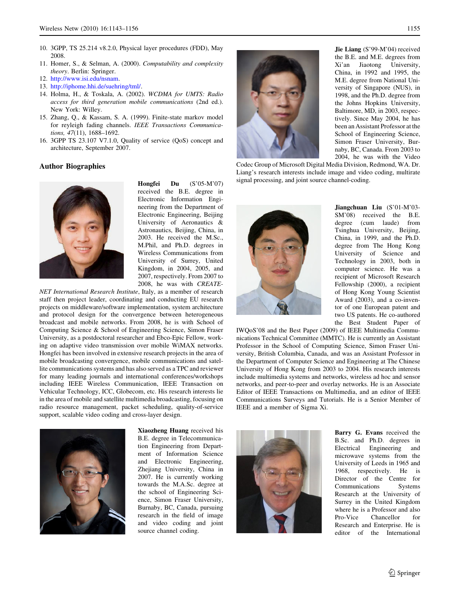- <span id="page-12-0"></span>10. 3GPP, TS 25.214 v8.2.0, Physical layer procedures (FDD), May 2008.
- 11. Homer, S., & Selman, A. (2000). Computability and complexity theory. Berlin: Springer.
- 12. <http://www.isi.edu/nsnam>.
- 13. <http://iphome.hhi.de/suehring/tml/>.
- 14. Holma, H., & Toskala, A. (2002). WCDMA for UMTS: Radio access for third generation mobile communications (2nd ed.). New York: Willey.
- 15. Zhang, Q., & Kassam, S. A. (1999). Finite-state markov model for reyleigh fading channels. IEEE Transactions Communications, 47(11), 1688–1692.
- 16. 3GPP TS 23.107 V7.1.0, Quality of service (QoS) concept and architecture, September 2007.

## Author Biographies



Hongfei Du (S'05-M'07) received the B.E. degree in Electronic Information Engineering from the Department of Electronic Engineering, Beijing University of Aeronautics & Astronautics, Beijing, China, in 2003. He received the M.Sc., M.Phil, and Ph.D. degrees in Wireless Communications from University of Surrey, United Kingdom, in 2004, 2005, and 2007, respectively. From 2007 to 2008, he was with CREATE-

NET International Research Institute, Italy, as a member of research staff then project leader, coordinating and conducting EU research projects on middleware/software implementation, system architecture and protocol design for the convergence between heterogeneous broadcast and mobile networks. From 2008, he is with School of Computing Science & School of Engineering Science, Simon Fraser University, as a postdoctoral researcher and Ebco-Epic Fellow, working on adaptive video transmission over mobile WiMAX networks. Hongfei has been involved in extensive research projects in the area of mobile broadcasting convergence, mobile communications and satellite communications systems and has also served as a TPC and reviewer for many leading journals and international conferences/workshops including IEEE Wireless Communication, IEEE Transaction on Vehicular Technology, ICC, Globecom, etc. His research interests lie in the area of mobile and satellite multimedia broadcasting, focusing on radio resource management, packet scheduling, quality-of-service support, scalable video coding and cross-layer design.



Xiaozheng Huang received his B.E. degree in Telecommunication Engineering from Department of Information Science and Electronic Engineering, Zhejiang University, China in 2007. He is currently working towards the M.A.Sc. degree at the school of Engineering Science, Simon Fraser University, Burnaby, BC, Canada, pursuing research in the field of image and video coding and joint source channel coding.



Jie Liang (S'99-M'04) received the B.E. and M.E. degrees from Xi'an Jiaotong University, China, in 1992 and 1995, the M.E. degree from National University of Singapore (NUS), in 1998, and the Ph.D. degree from the Johns Hopkins University, Baltimore, MD, in 2003, respectively. Since May 2004, he has been an Assistant Professor at the School of Engineering Science, Simon Fraser University, Burnaby, BC, Canada. From 2003 to 2004, he was with the Video

Codec Group of Microsoft Digital Media Division, Redmond, WA. Dr. Liang's research interests include image and video coding, multirate signal processing, and joint source channel-coding.



Jiangchuan Liu (S'01-M'03- SM'08) received the B.E. degree (cum laude) from Tsinghua University, Beijing, China, in 1999, and the Ph.D. degree from The Hong Kong University of Science and Technology in 2003, both in computer science. He was a recipient of Microsoft Research Fellowship (2000), a recipient of Hong Kong Young Scientist Award (2003), and a co-inventor of one European patent and two US patents. He co-authored the Best Student Paper of

IWQoS'08 and the Best Paper (2009) of IEEE Multimedia Communications Technical Committee (MMTC). He is currently an Assistant Professor in the School of Computing Science, Simon Fraser University, British Columbia, Canada, and was an Assistant Professor in the Department of Computer Science and Engineering at The Chinese University of Hong Kong from 2003 to 2004. His research interests include multimedia systems and networks, wireless ad hoc and sensor networks, and peer-to-peer and overlay networks. He is an Associate Editor of IEEE Transactions on Multimedia, and an editor of IEEE Communications Surveys and Tutorials. He is a Senior Member of IEEE and a member of Sigma Xi.



Barry G. Evans received the B.Sc. and Ph.D. degrees in Electrical Engineering and microwave systems from the University of Leeds in 1965 and 1968, respectively. He is Director of the Centre for Communications Systems Research at the University of Surrey in the United Kingdom where he is a Professor and also Pro-Vice Chancellor for Research and Enterprise. He is editor of the International